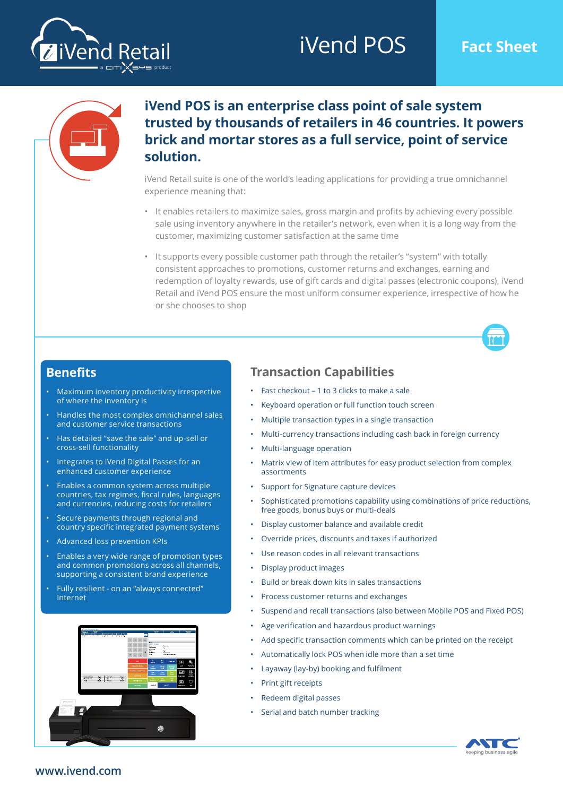# iVend POS **Fact Sheet**





### **iVend POS is an enterprise class point of sale system trusted by thousands of retailers in 46 countries. It powers brick and mortar stores as a full service, point of service solution.**

iVend Retail suite is one of the world's leading applications for providing a true omnichannel experience meaning that:

- It enables retailers to maximize sales, gross margin and profits by achieving every possible sale using inventory anywhere in the retailer's network, even when it is a long way from the customer, maximizing customer satisfaction at the same time
- It supports every possible customer path through the retailer's "system" with totally consistent approaches to promotions, customer returns and exchanges, earning and redemption of loyalty rewards, use of gift cards and digital passes (electronic coupons), iVend Retail and iVend POS ensure the most uniform consumer experience, irrespective of how he or she chooses to shop



#### **Benefits**

- Maximum inventory productivity irrespective of where the inventory is
- Handles the most complex omnichannel sales and customer service transactions
- Has detailed "save the sale" and up-sell or cross-sell functionality
- Integrates to iVend Digital Passes for an enhanced customer experience
- Enables a common system across multiple countries, tax regimes, fiscal rules, languages and currencies, reducing costs for retailers
- Secure payments through regional and country specific integrated payment systems
- Advanced loss prevention KPIs
- Enables a very wide range of promotion types and common promotions across all channels, supporting a consistent brand experience
- Fully resilient on an "always connected" Internet



#### **Transaction Capabilities**

- Fast checkout 1 to 3 clicks to make a sale
- Keyboard operation or full function touch screen
- Multiple transaction types in a single transaction
- Multi-currency transactions including cash back in foreign currency
- Multi-language operation
- Matrix view of item attributes for easy product selection from complex assortments
- Support for Signature capture devices
- Sophisticated promotions capability using combinations of price reductions, free goods, bonus buys or multi-deals
- Display customer balance and available credit
- Override prices, discounts and taxes if authorized
- Use reason codes in all relevant transactions
- Display product images
- Build or break down kits in sales transactions
- Process customer returns and exchanges
- Suspend and recall transactions (also between Mobile POS and Fixed POS)
- Age verification and hazardous product warnings
- Add specific transaction comments which can be printed on the receipt
- Automatically lock POS when idle more than a set time
- Layaway (lay-by) booking and fulfilment
- Print gift receipts
- Redeem digital passes
- Serial and batch number tracking